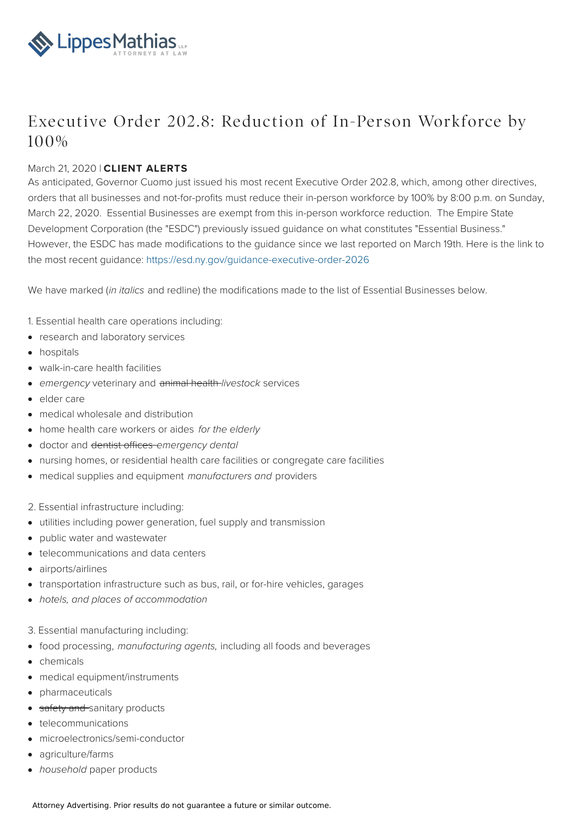

## Executive Order 202.8: Reduction of In-Person Workforce by 100%

## March 21, 2020 | **CLIENT ALERTS**

As anticipated, Governor Cuomo just issued his most recent Executive Order 202.8, which, among other directives, orders that all businesses and not-for-profits must reduce their in-person workforce by 100% by 8:00 p.m. on Sunday, March 22, 2020. Essential Businesses are exempt from this in-person workforce reduction. The Empire State Development Corporation (the "ESDC") previously issued guidance on what constitutes "Essential Business." However, the ESDC has made modifications to the guidance since we last reported on March 19th. Here is the link to the most recent guidance: <https://esd.ny.gov/guidance-executive-order-2026>

We have marked (in italics and redline) the modifications made to the list of Essential Businesses below.

- 1. Essential health care operations including:
- research and laboratory services
- hospitals
- walk-in-care health facilities
- emergency veterinary and animal health-livestock services
- elder care
- medical wholesale and distribution
- home health care workers or aides for the elderly
- · doctor and dentist offices emergency dental
- nursing homes, or residential health care facilities or congregate care facilities
- medical supplies and equipment manufacturers and providers
- 2. Essential infrastructure including:
- utilities including power generation, fuel supply and transmission
- public water and wastewater
- telecommunications and data centers
- airports/airlines
- transportation infrastructure such as bus, rail, or for-hire vehicles, garages
- hotels, and places of accommodation
- 3. Essential manufacturing including:
- food processing, manufacturing agents, including all foods and beverages
- chemicals
- medical equipment/instruments
- pharmaceuticals
- safety and sanitary products
- telecommunications
- microelectronics/semi-conductor
- agriculture/farms
- household paper products

Attorney Advertising. Prior results do not guarantee a future or similar outcome.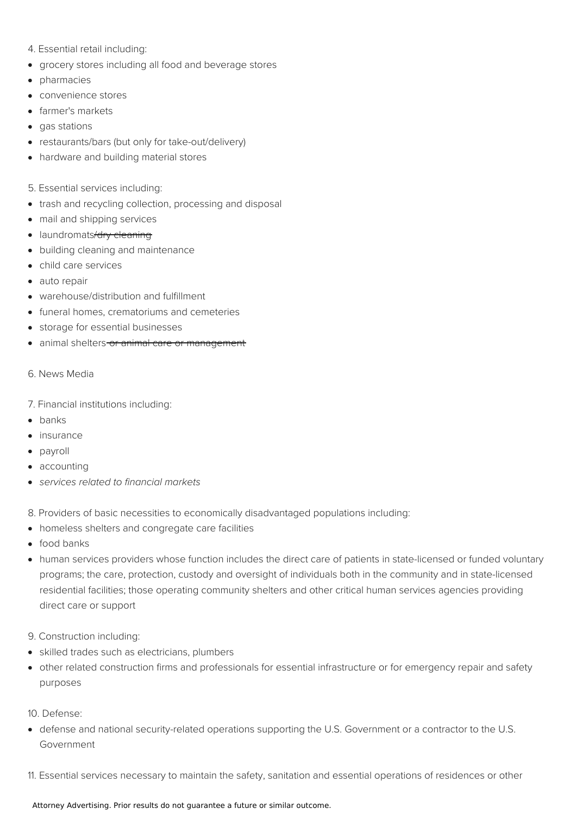- 4. Essential retail including:
- grocery stores including all food and beverage stores
- pharmacies
- convenience stores
- farmer's markets
- gas stations
- restaurants/bars (but only for take-out/delivery)
- hardware and building material stores
- 5. Essential services including:
- trash and recycling collection, processing and disposal
- mail and shipping services
- laundromats/dry cleaning
- building cleaning and maintenance
- child care services
- auto repair
- warehouse/distribution and fulfillment
- funeral homes, crematoriums and cemeteries
- storage for essential businesses
- animal shelters-or animal care or management
- 6. News Media
- 7. Financial institutions including:
- $\bullet$  banks
- insurance
- payroll
- accounting
- services related to financial markets
- 8. Providers of basic necessities to economically disadvantaged populations including:
- homeless shelters and congregate care facilities
- food banks
- human services providers whose function includes the direct care of patients in state-licensed or funded voluntary programs; the care, protection, custody and oversight of individuals both in the community and in state-licensed residential facilities; those operating community shelters and other critical human services agencies providing direct care or support
- 9. Construction including:
- skilled trades such as electricians, plumbers
- other related construction firms and professionals for essential infrastructure or for emergency repair and safety purposes
- 10. Defense:
- defense and national security-related operations supporting the U.S. Government or a contractor to the U.S. Government
- 11. Essential services necessary to maintain the safety, sanitation and essential operations of residences or other

## Attorney Advertising. Prior results do not guarantee a future or similar outcome.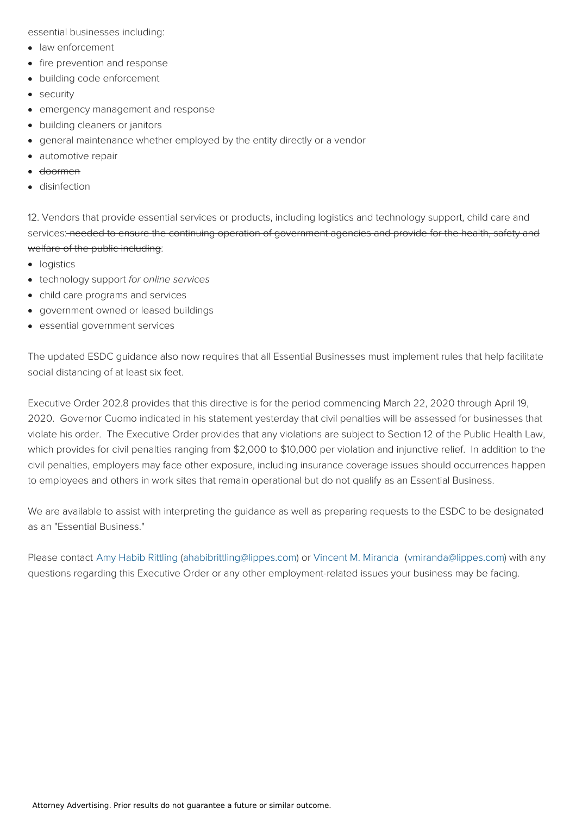essential businesses including:

- law enforcement
- fire prevention and response
- $\bullet$ building code enforcement
- security
- emergency management and response
- building cleaners or janitors  $\bullet$
- general maintenance whether employed by the entity directly or a vendor
- automotive repair  $\bullet$
- doormen
- disinfection

12. Vendors that provide essential services or products, including logistics and technology support, child care and services: needed to ensure the continuing operation of government agencies and provide for the health, safety and welfare of the public including:

- logistics
- technology support for online services
- child care programs and services
- government owned or leased buildings
- essential government services

The updated ESDC guidance also now requires that all Essential Businesses must implement rules that help facilitate social distancing of at least six feet.

Executive Order 202.8 provides that this directive is for the period commencing March 22, 2020 through April 19, 2020. Governor Cuomo indicated in his statement yesterday that civil penalties will be assessed for businesses that violate his order. The Executive Order provides that any violations are subject to Section 12 of the Public Health Law, which provides for civil penalties ranging from \$2,000 to \$10,000 per violation and injunctive relief. In addition to the civil penalties, employers may face other exposure, including insurance coverage issues should occurrences happen to employees and others in work sites that remain operational but do not qualify as an Essential Business.

We are available to assist with interpreting the guidance as well as preparing requests to the ESDC to be designated as an "Essential Business."

Please contact Amy Habib [Rittling](https://www.lippes.com/team/amy-habib-rittling-45) [\(ahabibrittling@lippes.com](mailto:ahabibrittling@lippes.com)) or Vincent M. [Miranda](https://www.lippes.com/team/vincent-m-miranda-60) [\(vmiranda@lippes.com](mailto:vmiranda@lippes.com)) with any questions regarding this Executive Order or any other employment-related issues your business may be facing.